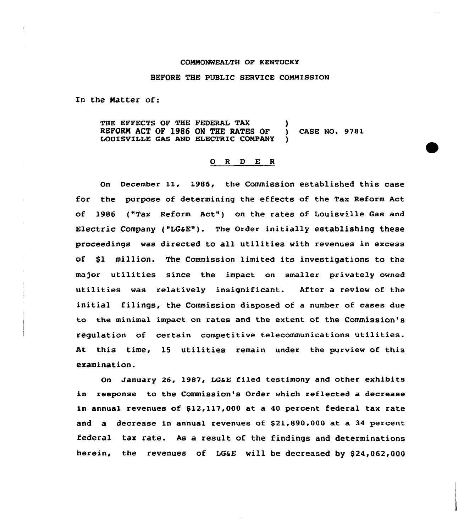#### COMMONWEALTH OF KENTUCKY

#### BEFORE THE PUBLIC SERVICE COMMISSION

In the Matter of:

THE EFFECTS OF THE FEDERAL TAX REFORN ACT OF l986 OM THE RATES OF ) CASE NO. 9781 LOUISVILLE GAS AND ELECTRIC COMPANY

#### 0 <sup>R</sup> <sup>D</sup> E <sup>R</sup>

On December 11, 1986, the Commission established this case for the purpose of determining the effects of the Tax Reform Act of 1986 ("Tax Reform Act") on the rates of Louisville Gas and Electric Company ("LGaE"). The Order initially establishing these proceedings was directed to all utilities with revenues in excess of \$l million. The Commission limited its investigations to the major utilities since the impact on smaller privately owned utilities was relatively insignificant. After a review of the initial filings, the Commission disposed of a number of cases due to the minimal impact on rates and the extent of the Commission's regulation of certain competitive telecommunications itilities. At this time, 15 utilities remain under the purview of this examination.

On January 26, 1987, LGaE filed testimony and other exhibits in response to the Commission's Order which reflected a decrease in annua1 revenues of \$12,117,000 at a 40 percent federal tax rate and a decrease in annual revenues of \$21,890,000 at a 34 percent federal tax rate. As a result of the findings and determinations herein, the revenues of LG&E will be decreased by \$24,062,000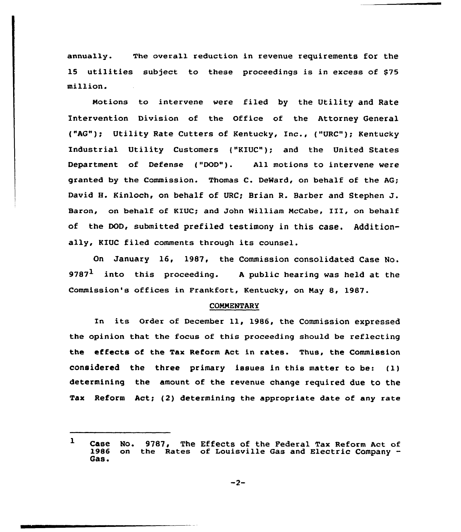annua1ly. The overal1 reduction in revenue requirements for the 15 utilities subject to these proceedings is in excess of \$75 million.

Notions to intervene were filed by the Utility and Rate Intervention Division of the Office of the Attorney General ("AG"); Utility Rate Cutters of Kentucky, Inc., ("URC"); Kentucky Industrial Utility Customers ("KIUC"); and the United States Department of Defense ("DOD"). All motions to intervene were granted by the Commission. Thomas C. DeWard, on behalf of the AG; David H. Kinloch, on behalf of URC; Brian R. Barber and Stephen J. Baron, on behalf of KIUC; and John William NcCabe, III, on behalf of the DOD, submitted prefiled testimony in this case. Additionally, KIUC filed comments through its counsel.

On January 16, 1987, the Commission consolidated Case No. 9787<sup>1</sup> into this proceeding. A public hearing was held at the Commission's offices in Frankfort, Kentucky, on Nay 8, 1987.

#### COMNENTARY

In its order of December 11, 1986, the commission expressed the opinion that the focus of this proceeding should be reflecting the effects of the Tax Reform Act in rates. Thus, the Commission considered the three primary issues in this matter to be: (1) determining the amount of the revenue change required due to the Tax Reform Act; (2) determining the appropriate date of any rate

 $\mathbf{1}$ Case No. 9787, The Effects of the Pederal Tax Reform Act of<br>1986 on the Rates of Louisville Gas and Electric Company on the Rates of Louisville Gas and Electric Company -Gas.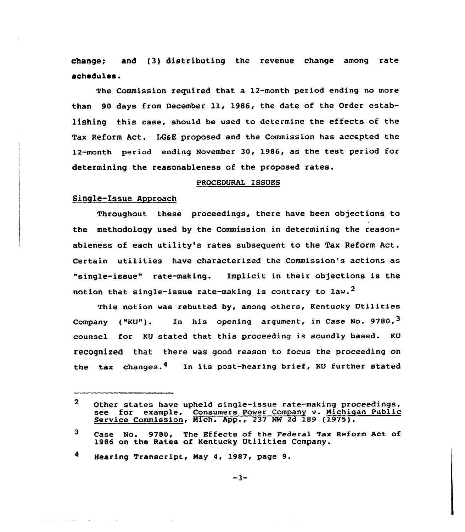change; and (3) distributing the revenue change among rate schedules.

The Commission required that a 12-month period ending no more than <sup>90</sup> days from December ll, 1986, the date of the Order establishing this case, should be used to determine the effects of the Tax Reform Act. LG&E proposed and the Commission has accepted the 12-month period ending November 30, 1986, as the test period for determining the reasonableness of the proposed rates.

#### PROCEDURAL ISSUES

# Single-Issue Approach

de la construcción de la construcción

Throughout these proceedings, there have been objections to the methodology used by the Commission in determining the reasonableness of each utility's rates subsequent to the Tax Reform Act. Certain utilities have characterized the Commission's actions as "single-issue" rate-making. Implicit in their objections is the notion that single-issue rate-making is contrary to law.<sup>2</sup>

This notion was rebutted by, among others, Kentucky Utilities Company ("KU"). In his opening argument, in Case No. 9780,  $3$ counsel for KU stated that this proceeding is soundly based. KU recognized that there was good reason to focus the proceeding on the tax changes.<sup>4</sup> In its post-hearing brief, KU further stated

 $\mathbf{2}$ Other states have upheld single-issue rate-making proceedings, see for example, Consumers Power Company v. Michigan Public Service Commission, Mich. App., 237 NW 2d 189 (1975).

 $\mathbf{3}$ Case No. 9780, The Effects of the Federal Tax Reform Act of 1986 on the Rates of Kentucky Utilities Company.

<sup>4</sup> Hearing Transcript, Nay 4, 1987, page 9.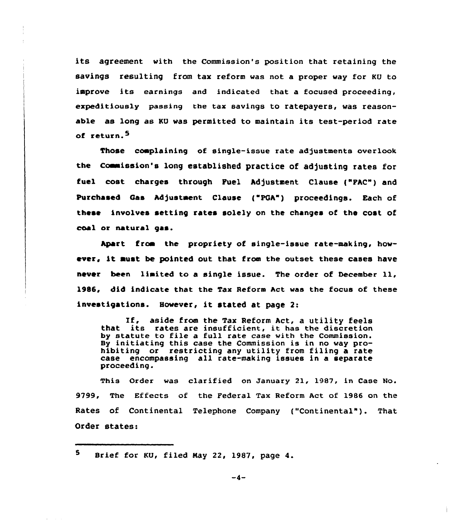its agreement with the Commission's position that retaining the savings resulting from tax reform was not a proper way for KU to improve its earnings and indicated that a focused proceeding, expeditiously passing the tax savings to ratepayers, was reasonable as long as KU was permitted to maintain its test-period rate of return.<sup>5</sup>

Those complaining of single-issue rate adjustments overlook the Commission's long established practice of adjusting rates for fuel cost charges through Fuel Adjustment Clause ("FAC") and Purchased Gas Adjustment Clause ("PGA") proceedings. Each of these involves setting rates solely on the changes of the cost of coal or natural gas.

Apart from the propriety of single-issue rate-making, however, it must be pointed out that from the outset these cases have never been limited to <sup>a</sup> single issue. The order of December ll, 1986, did indicate that the Tax Reform Act was the focus of these investigations. However, it stated at page 2:

If, aside from the Tax Reform Act, <sup>a</sup> utility feels that its rates are insufficient, it has the discretion by statute to file a full rate case with the Commission. By initiating this case the Commission is in no way prohibiting or restricting any utility from filing a rate case encompassing all rate-making issues in a separate proceeding.

This Order was clarified on January 21, 1987, in Case No. 9799, The Effects of the Federal Tax Reform Act of 19S6 on the Rates of Continental Telephone Company {"Continental"). That Order states:

5. Brief for KU, filed May 22, 1987, page 4.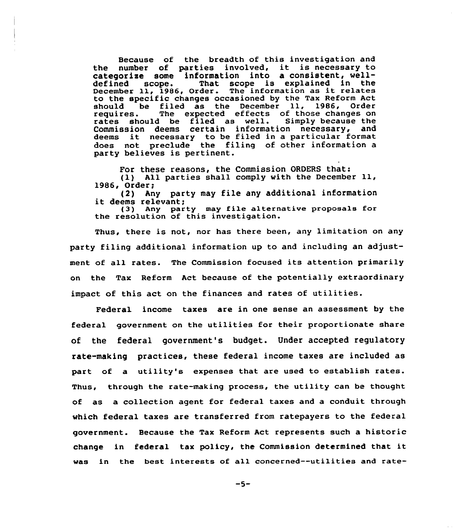Because of the breadth of this investigation and the number of parties involved, it is necessary to categorize some information into a consistent, well-<br>defined scope. That scope is explained in the That scope is explained in the December 11, 1986, Order. The information as it relates to the specific changes occasioned by the Tax Reform Act<br>should be filed as the December 11, 1986, Order should be filed as the December 11, 1986, Order<br>requires. The expected effects of those changes on The expected effects of those changes on<br>I be filed as well. Simply because the rates should be filed as well. Simply because the Commission deems certain information necessary, deems it necessary to be filed in <sup>a</sup> particular format does not preclude the filing of other information a party believes is pertinent.

For these reasons, the Commission ORDERS that: (1} All parties shall comply with the December ll, 1986, Order;<br>(2) Any party may file any additional information

it deems relevant;<br>(3) Any party may file alternative proposals for

the resolution of this investigation.

Thus, there is not, nor has there been, any limitation on any party filing additional information up to and including an adjustment of all rates. The Commission focused its attention primarily on the Tax Reform Act because of the potentially extraordinary impact of this act on the finances and rates of utilities.

Federal income taxes are in one sense an assessment by the federal government on the utilities for their proportionate share of the federal government's budget. Under accepted regulatory rate-making practices, these federal income taxes are included as part of a utility's expenses that are used to establish rates. Thus, through the rate-making process, the utility can be thought of as a collection agent for federal taxes and a conduit through which federal taxes are transferred from ratepayers to the federal government. Because the Tax Reform Act represents such a historic change in federal tax policy, the Commission determined that it was in the best interests of all concerned--utilities and rate-

 $-5-$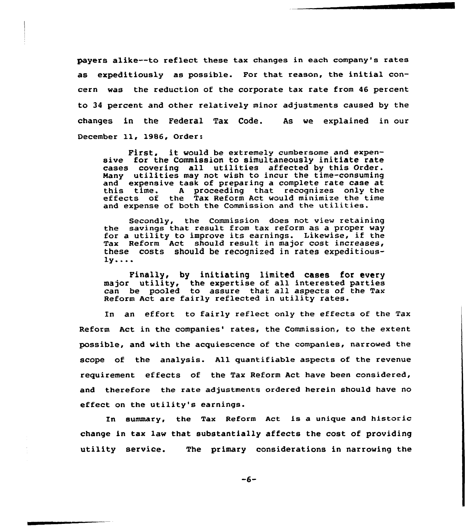payers alike--to reflect these tax changes in each company's rates as expeditiously as possible. For that reason, the initial concern was the reduction of the corporate tax rate from 46 percent, to 34 percent and other relatively minor adjustments caused by the changes in the Federal Tax Code. As we explained in our December 11, 1986, Order:

First, it would be extremely cumbersome and expensive for the Commission to simultaneously initiate rate cases covering all utilities affected by this Order. Many utilities may not wish to incur the time-consuming<br>and expensive task of preparing a complete rate case at this time. A proceeding that recognizes only the rate rate case at the rate case at the effects of the Tax Reform Act would minimize the time and expense of both the Commission and the utilities.

Secondly, the Commission does not view retaining the savings that result from tax reform as <sup>a</sup> proper way for <sup>a</sup> utility to improve its earnings. Likewise, if the Tax Reform Act should result in major cost increases, these costs should be recognized in rates expeditious $l$ y...

Finally, by initiating limited cases for every major utility, the expertise of all interested partie dayor definity, the expertise of all interested parties<br>can be pooled to assure that all aspects of the Tax Reform Act are fairly reflected in utility rates.

ln an effort to fairly reflect only the effects of the Tax Reform Act in the companies' rates, the Commission, to the extent possible, and with the acquiescence of the companies, narrowed the scope of the analysis. All quantifiable aspects of the revenue requirement effects of the Tax Reform Act have been considered, and therefoxe the xate adjustments ordered herein should have no effect on the utility's earnings.

In summary, the Tax Reform Act is a unique and historic change in tax law that substantially affects the cost of providing utility service. The primary considerations in narrowing the

 $-6-$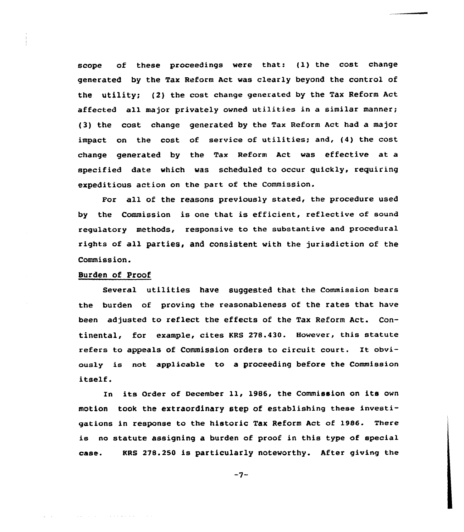scope of these proceedings were that: (1) the cost change generated by the Tax Reform Act was clearly beyond the control of the utility; (2) the cost change generated by the Tax Reform Act affected all major privately owned utilities in a similar manner; (3) the cost change generated by the Tax Reform Act had a major impact on the cost of service of utilities; and, (4} the cost change generated by the Tax Reform Act was effective at a specified date which was scheduled to occur quickly, requiring expeditious action on the part of the Commission.

For all of the reasons previously stated, the procedure used by the Commission is one that is efficient, reflective of sound regulatory methods, responsive to the substantive and procedural rights of all parties, and consistent with the jurisdiction of the Commission.

# Burden of Proof

Several utilities have suggested that the Commission bears the burden of proving the reasonableness of the rates that have been adjusted to reflect the effects of the Tax Reform Act. Continental, for example, cites KRS 278.430. However, this statute refers to appeals of Commission orders to circuit court. It obviously is not applicable to a proceeding before the Commission itself.

In its Order of December ll, 1986, the Commission on its own motion took the extraordinary step of establishing these investigations in response to the historic Tax Reform Act of 1986. There is no statute assigning a burden of proof in this type of special case. KRS 278.250 is particularly noteworthy. After giving the

 $-7-$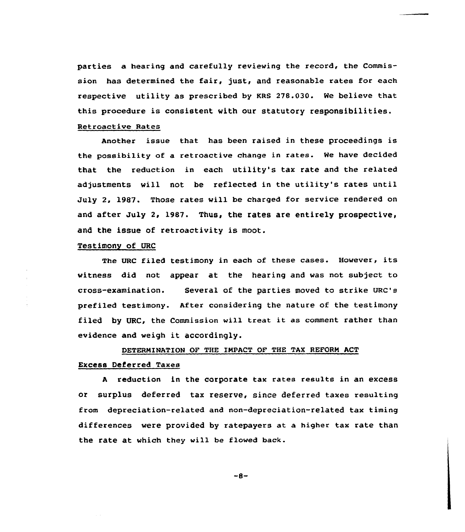parties a hearing and carefully reviewing the record, the Commission has determined the fair, just, and reasonable rates for each respective utility as prescribed by KRS 27S.030. We believe that, this procedure is consistent with our statutory responsibilities.

### Retroactive Rates

Another issue that has been raised in these proceedings is the possibility of a retroactive change in rates. We have decided that the reduction in each utility's tax rate and the related adjustments will not be reflected in the utility's rates until July 2, 1987. Those rates vill be charged for service rendered on and after July 2, 1987. Thus, the rates are entirely prospective, and the issue of retroactivity is moot.

# Testimony of URC

The URC filed testimony in each of these cases. However, its vitness did not appear at the hearing and was not subject. to cross-examination. Several of the parties moved to strike URC's prefiled testimony. After considering the nature of the testimony filed by URC, the Commission will treat it as comment rather than evidence and weigh it accordingly.

### DETERMINATION OF THE IMPACT OF THE TAX REFORM ACT

# Excess Deferred Taxes

<sup>A</sup> reduction in the corporate tax rates results in an excess or surplus deferred tax reserve, since deferred taxes resulting from depreciation-related and non-depreciation-related tax timing differences were provided by ratepayers at. a higher tax rate than the rate at which they will be flowed back.

 $-8-$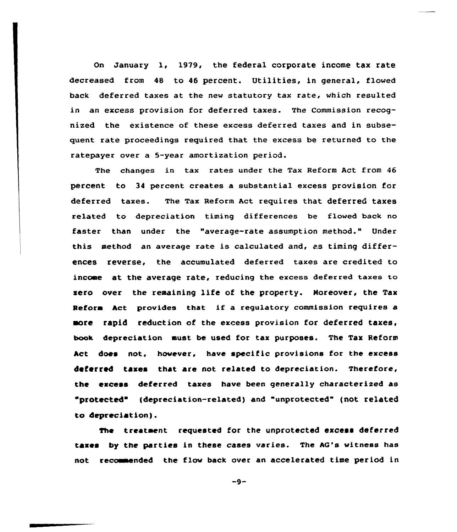On January 1, 1919, the federal corporate income tax rate decreased from 48 to 46 percent. Utilities, in general, flowed back deferred taxes at the new statutory tax rate, which resulted in an excess provision for deferred taxes. The Commission recognized the existence of these excess deferred taxes and in subsequent rate proceedings required that the excess be returned to the ratepayer over a 5-year amortization period.

The changes in tax rates under the Tax Reform Act from 46 percent to 34 percent creates a substantial excess provision for deferred taxes. The Tax Reform Act requires that deferred taxes related to depreciation timing differences be flowed back no faster than under the "average-rate assumption method." Under this method an average rate is calculated and, as timing differences reverse, the accumulated deferred taxes are credited to income at the average rate, reducing the excess deferred taxes to zero over the remaining life of the property. Moreover, the Tax Reform Act provides that if <sup>a</sup> regulatory commission requires a more rapid reduction of the excess provision for deferred taxes, book depreciation aust be used for tax purposes. The Tax Reform Act does not, however, have specific provisions for the excess deferred taxes that are not related to depreciation. Therefore, the excess deferred taxes have been generally characterized as "protected" (depreciation-related) and "unprotected" (not related to depreciation).

The treatment requested for the unprotacted excess deferred taxes by the parties in these cases varies. The AG's witness has not recommended the flow back over an accelerated time period in

 $-9-$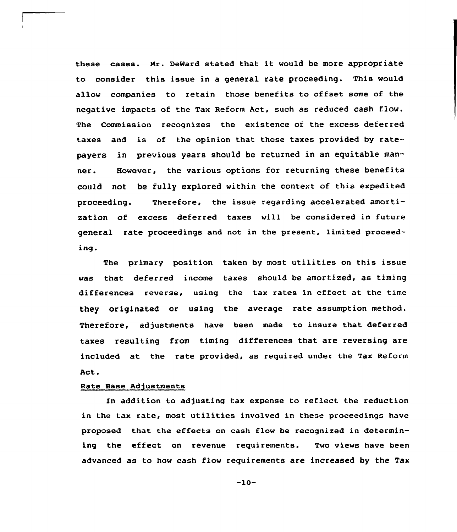these cases. Mr. DeWard stated that it would be more appropriate to consider this issue in a general rate proceeding. This would allow companies to retain those benefits to offset some of the negative impacts of the Tax Reform Act, such as reduced cash flow. The Commission recognizes the existence of the excess deferred taxes and is of the opinion that these taxes provided by ratepayers in previous years should be returned in an equitable manner. However, the various options for returning these benefits could not be fully explored within the context of this expedited proceeding. Therefore, the issue regarding accelerated amortization of excess deferred taxes vill be considered in future general rate proceedings and not in the present, limited proceeding

The primary position taken by most utilities on this issue was that deferred income taxes should be amortized, as timing differences reverse, using the tax rates in effect at the time they originated or using the average rate assumption method. Therefore, adjustments have been made to insure that deferred taxes resulting from timing differences that are reversing are included at the rate provided, as required under the Tax Reform Act.

# Rate Base Adjustments

In addition to adjusting tax expense to reflect the reduction in the tax rate, most utilities involved in these proceedings have proposed that the effects on cash flow be recognized in determining the effect on revenue requirements. Two views have been advanced as to how cash flow requirements are increased by the Tax

-10-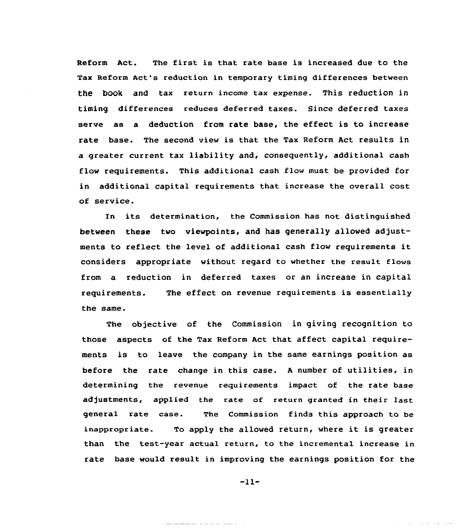Reform Act. The first is that rate base is increased due to the Tax Reform Act's reduction in temporary timing differences between the hook and tax return income tax expense. This reduction in timing differences reduces deferred taxes. Since deferred taxes serve as a deduction from rate base, the effect is to increase rate base. The second view is that the Tax Reform Act results in a greater current tax liability and, consequently, additional cash flow requirements. This additional cash flow must be provided for in additional capital requirements that increase the overall cost of service.

In its determination, the Commission has not distinguished between these two viewpoints, and has generally allowed adjustments to reflect the level of additional cash flow requirements it considers appropriate without regard to whether the result flows from a reduction in deferred taxes or an increase in capital requirements. the same. The effect on revenue requirements is essentially

The objective of the Commission in giving recognition to those aspects of the Tax Reform Act that affect capital requirements is to leave the company in the same earnings position as before the rate change in this case. <sup>A</sup> number of utilities, in determining the revenue requirements impact of the rate base adjustments, applied the rate of return granted in their last general rate case. The Commission finds this approach to be inappropriate. To apply the allowed return, where it is greater than the test-year actual return, to the incremental increase in rate base would result in improving the earnings position for the

 $-11-$ 

سماس الموارد الموارد الرازيل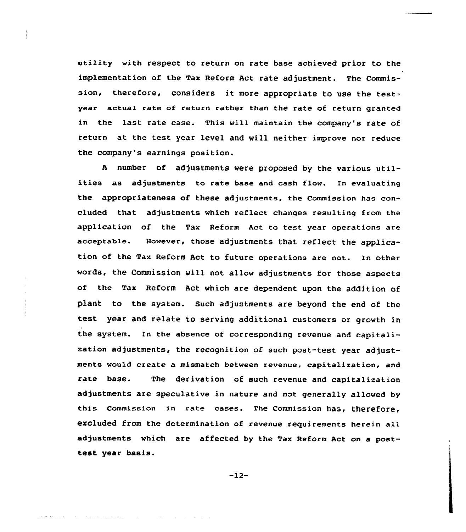utility with respect to return on rate base achieved prior to the implementation of the Tax Reform Act rate adjustment. The Commission, therefore, considers it more appropriate to use the testyear actua1 rate of return rather than the rate of return granted in the last rate case. This will maintain the company's rate of return at the test year level and will neither improve nor reduce the company's earnings position.

<sup>A</sup> number of adjustments were proposed by the various utilities as adjustments to rate base and cash flow. In evaluating the appropriateness of these adjustments, the Commission has concluded that adjustments which reflect changes resulting from the application of the Tax Reform Act to test year operations are acceptable. However, those adjustments that reflect the application of the Tax Reform Act to future operations are not. In other words, the Commission will not allow adjustments for those aspects of the Tax Reform Act which are dependent upon the addition of plant to the system. Such adjustments are beyond the end of the test year and relate to serving additional customers or growth in the system. In the absence of corresponding revenue and capitalization adjustments, the recognition of such post-test year adjustments would create a mismatch between revenue, capitalization, and rate base. The derivation of such revenue and capitalization adjustments are speculative in nature and not generally allowed by this commission in rate cases. The commission has, therefore, excluded from the determination of revenue requirements herein all adjustments which are affected by the Tax Reform Act on a posttest year basis.

-12-

state of a series and analysis of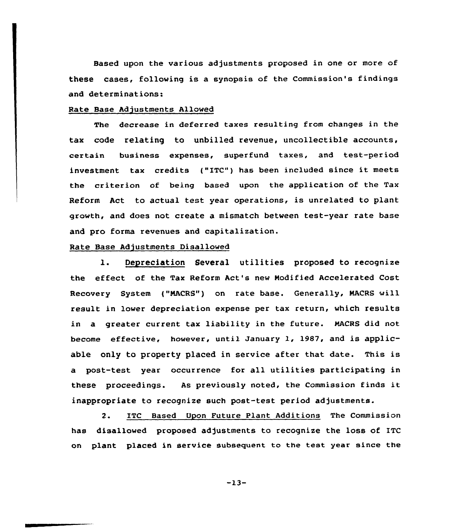Based upon the various adjustments proposed in one or more of these cases, following is a synopsis of the Commission's findings and determinations:

### Rate Base Adjustments Allowed

The decrease in deferred taxes resulting from changes in the tax code relating to unbilled revenue, uncollectible accounts, certain business expenses, superfund taxes, and test-period investment tax credits ("ITC") has been included since it meets the criterion of being based upon the application of the Tax Reform Act to actual test year operations, is unrelated to plant grawth, and daes not create a mismatch between test-year rate base and pro forma revenues and capitalization.

# Rate Base Adjustments Disallowed

l. Depreciation Several utilities proposed to recognize the effect of the Tax Reform Act's new Nodified Accelerated Cost Recovery System ("MACRS") on rate base. Generally, MACRS will result in lower depreciation expense per tax return, which results in a greater current tax liability in the future. NACRS did not become effective, however, unti1 January 1, 1987, and is applicable only to property placed in service after that date. This is a post-test year occurrence for all utilities participating in these proceedings. As previously noted, the Commission finds it inappropriate to recognize such post-test period adjustments.

2. ITC Based Upon Future Plant Additions The Commission has disallowed proposed adjustments to recognize the loss of ITC on plant placed in service subsequent to the test year since the

 $-13-$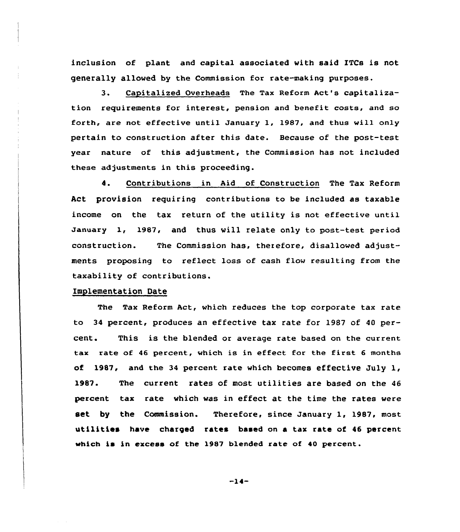inclusion of plant and capital associated with said ITCs is not generally allowed by the Commission for rate-making purposes.

3. Capitali2ed Overheads The Tax Reform Act's capitalization requirements for interest, pension and benefit costs, and so forth, are not effective until January 1, 1987, and thus will only pertain to construction after this date. Because of the post-test year nature of this adjustment, the Commission has not included these adjustments in this proceeding.

4. Contributions in Aid of Construction The Tax Reform Act provision requiring contributions to be included as taxable income on the tax return of the utility is not effective until January 1., 1987, and thus will relate only to post-test period construction. The Commission has, therefore, disallowed adjustments proposing to reflect loss of cash flow resulting from the taxability of contributions.

### Implementation Date

The Tax Reform Act, which reduces the top corporate tax rate to 34 percent, produces an effective tax rate for 1987 of 40 percent. This is the blended or average rate based on the current tax rate of <sup>46</sup> percent, which is in effect for the first <sup>6</sup> months of 1987, and the <sup>34</sup> percent rate which becomes effective July 1, 1987. The current rates of most utilities are based on the <sup>46</sup> percent tax rate which was in effect at the time the rates were set by the Commission. Therefore, since January 1, 1987, most utilities have charged rates based on <sup>a</sup> tax rate of 46 percent which is in excess of the 1987 blended rate of 40 percent.

-14-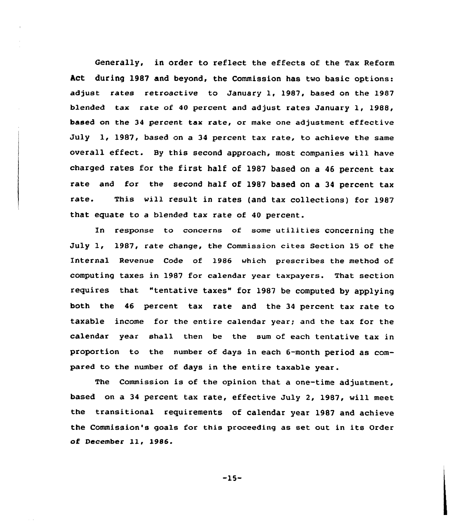Generally, in order to reflect the effects of the Tax Reform Act during 1987 and beyond, the Commission has two basic options: adjust rates retroactive to January l, 1987, based on the 1987 blended tax rate of <sup>40</sup> percent and adjust rates January 1, 1988, based on the 34 percent tax rate, or make one adjustment effective July 1, 1987, based on a 34 percent tax rate, to achieve the same overall effect. By this second approach, most companies will have charged rates for the first half of 1987 based on <sup>a</sup> <sup>46</sup> percent tax rate and for the second half of 1987 based on a 34 percent tax rate. This will result in rates (and tax collections) for 1987 that equate to a blended tax rate of 40 percent.

In response to concerns of some utilities concerning the July 1, 1987, rate change, the Commission cites Section 15 of the Internal Revenue Code of l986 which prescribes the method of computing taxes in 1987 for calendar year taxpayers. That section requires that "tentative taxes" for 1987 be computed by applying both the 46 percent tax rate and the 34 percent tax rate to taxable income for the entire calendar year; and the tax for the calendar year shall then be the sum of each tentative tax in proportion to the number of days in each 6-month period as compared to the number of days in the entire taxable year.

The Commission is of the opinion that a one-time adjustment, based on a 34 percent tax rate, effective July 2, 1987, will meet the transitional requirements of calendar year 1987 and achieve the Commission's goals for this proceeding as set out in its Order of December ll, 1986.

 $-15-$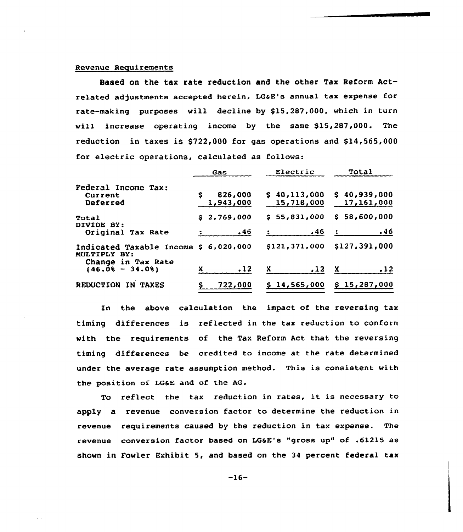#### Revenue Reguirements

Based on the tax rate reduction and the other Tax Reform Actrelated adjustments accepted herein, LG&E's annual tax expense for rate-making purposes will decline by \$15,287,000, which in turn will increase operating income by the same \$15,287,000. The reduction in taxes is  $$722,000$  for gas operations and  $$14,565,000$ for electric operations, calculated as follows:

|                                                                             |   | Gas                  |    | Electric                   |   | Total                        |
|-----------------------------------------------------------------------------|---|----------------------|----|----------------------------|---|------------------------------|
| Federal Income Tax:<br>Current<br>Deferred                                  | s | 826,000<br>1,943,000 |    | \$40,113,000<br>15,718,000 |   | \$40,939,000<br>17, 161, 000 |
| Total<br>DIVIDE BY:<br>Original Tax Rate                                    |   | \$2,769,000<br>.46   |    | \$55,831,000<br>.46        |   | \$58,600,000<br>.46          |
| Indicated Taxable Income \$ 6,020,000<br>MULTIPLY BY:<br>Change in Tax Rate |   |                      |    | \$121,371,000              |   | \$127,391,000                |
| $(46.0% - 34.0%)$                                                           |   | .12                  | X. | .12                        | x | .12                          |
| <b>REDUCTION</b><br><b>TAXES</b><br>IN.                                     |   | 722,000              |    | \$14,565,000               |   | \$15,287,000                 |

In the above calculation the impact of the reversing tax timing differences is reflected in the tax reduction to conform with the requirements of the Tax Reform Act that the reversing timing differences be credited to income at the rate determined under the average rate assumption method. This is consistent with the position of LG&E and of the AG.

To reflect the tax reduction in rates, it is necessary to apply a revenue conversion factor to determine the reduction in revenue requirements caused by the reduction in tax expense. The revenue conversion factor based on LQSE's "gross up" of .61215 as shown in Fowler Exhibit 5, and based on the 34 percent federal tax

 $-16-$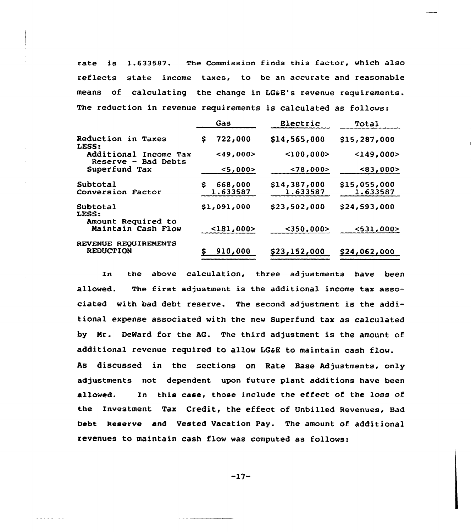rate is 1.633582. The Commission finds this factor, which also reflects state income taxes, to be an accurate and reasonable means of calculating the change in LG6E's revenue requirements. The reduction in revenue requirements is calculated as follows:

|                                              | Gas           | Electric        | Total        |
|----------------------------------------------|---------------|-----------------|--------------|
| Reduction in Taxes<br>LESS:                  | 722,000<br>\$ | \$14,565,000    | \$15,287,000 |
| Additional Income Tax<br>Reserve - Bad Debts | $<$ 49,000>   | $<$ 100.000 $>$ | $149,000$    |
| Superfund Tax                                | < 5.000 >     | < 78,000 >      | <83,000>     |
| Subtotal                                     | 668,000<br>S  | \$14,387,000    | \$15,055,000 |
| Conversion Factor                            | 1.633587      | 1.633587        | 1.633587     |
| Subtotal<br>LESS:                            | \$1,091,000   | \$23,502,000    | \$24,593,000 |
| Amount Required to<br>Maintain Cash Flow     | $<$ 181,000>  | $350,000$       | < 531.000 >  |
| REVENUE REQUIREMENTS<br><b>REDUCTION</b>     | 910,000       | \$23,152,000    | \$24,062,000 |

In the above calculation. three adjustments have been allowed. The first adjustment is the additional income tax associated with bad debt reserve. The second adjustment is the additional expense associated with the new Superfund tax as calculated by Nr. DeNard for the AG. The third adjustment is the amount of additional revenue required to allow LG&E to maintain cash flow. As discussed in the sections on Rate Base Adjustments, only adjustments not dependent upon future plant additions have been allowed. In this case, those include the effect of the 1oss of the Investment Tax Credit, the effect of Unbilled Revenues, Bad Debt Reserve and Vested Vacation Pay. The amount of additional revenues to maintain cash flow was computed as follows:

-17-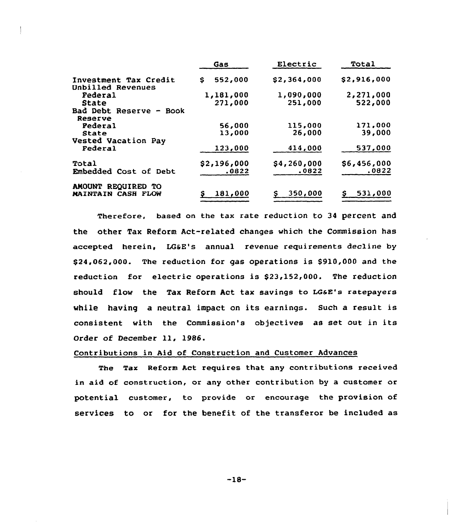|                                                   | Gas           | Electric    | Total       |
|---------------------------------------------------|---------------|-------------|-------------|
| Investment Tax Credit<br><b>Unbilled Revenues</b> | 552,000<br>S. | \$2,364,000 | \$2,916,000 |
| Federal                                           | 1,181,000     | 1,090,000   | 2,271,000   |
| State                                             | 271,000       | 251,000     | 522,000     |
| Bad Debt Reserve - Book<br>Reserve                |               |             |             |
| Pederal                                           | 56,000        | 115,000     | 171,000     |
| State                                             | 13,000        | 26,000      | 39,000      |
| Vested Vacation Pay                               |               |             |             |
| Federal                                           | 123,000       | 414,000     | 537,000     |
| Total                                             | \$2,196,000   | \$4,260,000 | \$6,456,000 |
| Embedded Cost of Debt                             | .0822         | .0822       | .0822       |
| AMOUNT REQUIRED TO                                |               |             |             |
| <b>MAINTAIN CASH FLOW</b>                         | 181,000       | 350,000     | 531,000     |

Therefore, based on the tax rate reduction to 34 percent and the other Tax Reform Act-related changes which the Commission has accepted herein, LGSE's annual revenue requirements decline by \$24,062,000. The reduction for gas operations is \$910,000 and the reduction for electric operations is \$23,152,000. The reduction should flow the Tax Reform Act tax savings to LG&E's ratepayers while having a neutral impact on its earnings. Such a result is consistent with the Commission's objectives as set out in its Order of December ll, 1986.

# Contributions in Aid of Construction and Customer Advances

The Tax Reform Act requires that any contributions received in aid of construction, or any other contribution by a customer or potential customer, to provide or encourage the provision of services to or for the benefit of the transferor be included as

-18-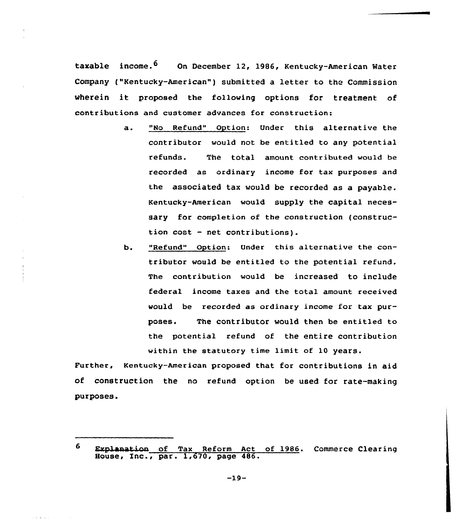taxable income.  $6$  On December 12, 1986, Kentucky-American Water Company ("Kentucky-American" ) submitted <sup>a</sup> letter to the Commission wherein it proposed the following options for treatment of contributions and customer advances for construction:

- a. "No Refund" Option: Under this alternative the contributor would not be entitled to any potential refunds. The total amount contributed would be recorded as ordinary income for tax purposes and the associated tax would be recorded as a payable. Kentucky-American would supply the capital necessary for completion of the construction (construction cost — net contributions).
- b. "Refund" Option: Under this alternative the contributor would be entitled to the potential refund. The contribution would be increased to include federal income taxes and the total amount received would be recorded as ordinary income for tax purposes. The contributor would then be entitled to the potential refund of the entire contribution within the statutory time limit of 10 years.

Further, Kentucky-American proposed that for contributions in aid of construction the no refund option be used for rate-making purposes.

<sup>6</sup> Explanation of Tax Reform Act of 1986. Commerce Clearing House, Inc., par. 1,670, page 486.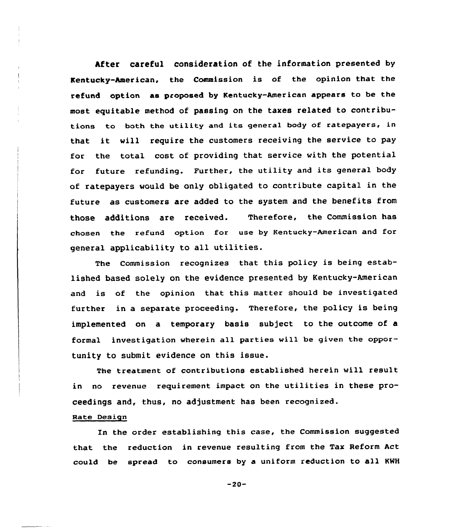After careful consideration of the information presented by Kentucky-American, the Commission is of the opinion that the refund option as proposed by Kentucky-American appears to be the most equitable method of passing on the taxes related to contributions to both the utility and its general body of ratepayers, in that it will require the customers receiving the service to pay for the total cost of providing that service with the potential for future refunding. Further, the utility and its general body of ratepayers would be only obligated to contribute capital in the future as customers are added to the system and the benefits from those additions are received. Therefore, the Commission has chosen the refund option for use by Kentucky-American and for general applicability to all utilities.

The Commission recognizes that this policy is being established based solely on the evidence presented by Kentucky-American and is of the opinion that this matter should be investigated further in a separate proceeding. Therefore, the policy is being implemented on a temporary basis subject to the outcome of a formal investigation wherein all parties will be given the opportunity to submit evidence on this issue.

The treatment of contributions established herein vill result in no revenue requirement impact on the utilities in these proceedings and, thus, no adjustment has been recognized.

### Rate Design

In the order establishing this case, the Commission suggested that the reduction in revenue resulting from the Tax Reform Act could be spread to consumers by a uniform reduction to all NWH

 $-20-$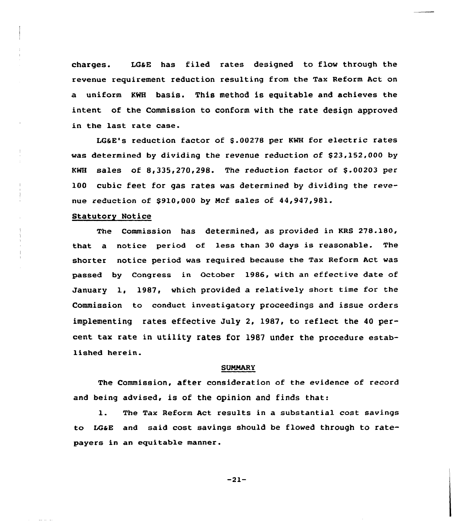charges. LGaE has filed rates designed to flow through the revenue requirement reduction resulting from the Tax Reform Act on a uniform KWH basis. This method is equitable and achieves the intent of the Commission to conform with the rate design approved in the last rate case.

LG&E's reduction factor of \$ .00278 per KWH for electric rates was determined by dividing the revenue reduction of  $$23,152,000$  by KWH sales of  $8,335,270,298$ . The reduction factor of \$.00203 per 100 cubic feet for gas rates was determined by dividing the revenue reduction of \$910,000 by Mcf sales of 44,947,981.

#### Statutory Notice

The Commission has determined, as provided in KRS 278.180, that a notice period of less than 30 days is reasonable. The shorter notice period was required because the Tax Reform Act was passed by Congress in October 1986, with an effective date of January 1, 1987, which provided a relatively short time for the Commission to conduct investigatory proceedings and issue orders implementing rates effective July 2, 1987, to reflect the 40 percent tax rate in utility rates for 1987 under the procedure established herein.

#### **SUMMARY**

The Commission, after consideration of the evidence of record and being advised, is of the opinion and finds that:

1. The Tax Reform Act results in <sup>a</sup> substantial cost savings to LGaE and said cost savings should be flowed through to ratepayers in an equitable manner.

-21-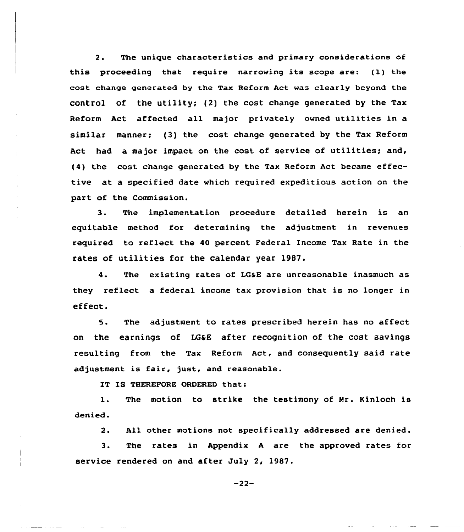2. The unique characteristics and primary considerations of this proceeding that require narrowing its scope are: (I) the cost change generated by the Tax Reform Act was clearly beyond the control of the utility; (2) the cost change generated by the Tax Reform Act affected all major privately owned utilities in a similar manner; (3) the cost change generated by the Tax Reform Act had a major impact on the cost of service of utilities; and, (4) the cost change generated by the Tax Reform Act became effective at a specified date which required expeditious action on the part of the Commission.

3. The implementation procedure detailed herein is an equitable method for determining the adjustment in revenues required to reflect the 40 percent Federal Income Tax Rate in the rates of utilities for the calendar year 1987.

4. The existing rates of LG&E are unreasonable inasmuch as they reflect a federal income tax provision that is no longer in effect.

5. The adjustment to rates prescribed herein has no affect on the earnings of LG&E after recognition of the cost savings resulting from the Tax Reform Act, and consequently said rate adjustment is fair, just, and reasonable.

IT IS THEREFORE ORDERED that:

The motion to strike the testimony of Mr. Kinloch is  $\mathbf{1}$ . denied.

 $2.$ All other motions not specifically addressed are denied.

 $3$ . The rates in Appendix <sup>A</sup> are the approved rates for service rendered on and after July 2, 1987.

 $-22-$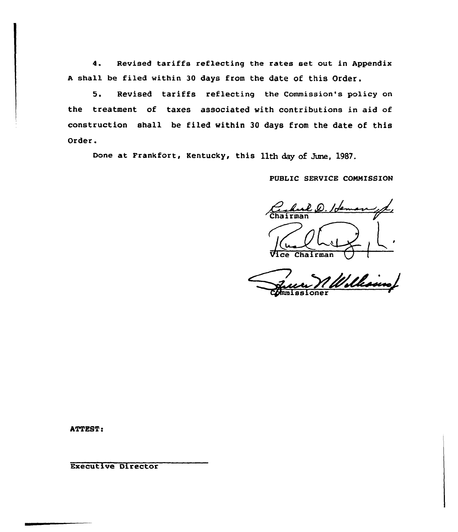4. Revised tariffs reflecting the rates set out in Appendix <sup>A</sup> shall be filed within 30 days from the date of this Order.

5. Revised tariffs reflecting the Commission's policy on the treatment of taxes associated with contributions in aid of construction shall be filed within 30 days from the date of this Order.

Done at Frankfort, Kentucky, this 11th day of Jume, 1987.

PUBLIC SERVICE COMMISSION

 $\mathscr{L}.$  He Chairman

Williams Commissione

ATTEST:

Executive Director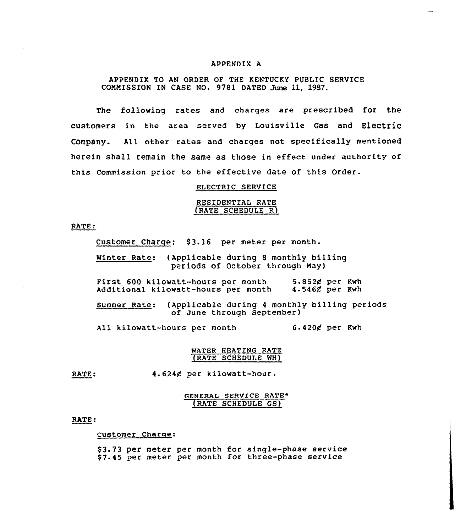#### APPENDIX A

### APPENDIX TO AN ORDER OF THE KENTUCKY PUBLIC SERVICE CONNISSION IN CASE NO. 9781 DATED June 11, 1987.

The following rates and charges are prescribed for the customers in the area served by Louisville Gas and Electric Company. All other rates and charges not specifically mentioned herein shall remain the same as those in effect under authority of this Commission prior to the effective date of this Order.

# ELECTRIC SERVICE

### RES IDENT IAL RATE (RATE SCHEDULE R)

RATE:

Customer Charge: \$3.16 per meter per month.

Winter Rate: (Applicable during 8 monthly billing periods of October through way)

First 600 kilowatt-hours per month 5.852¢ per Kwh<br>Additional kilowatt-hours per month 4.546¢ per Kwh Additional kilowatt-hours per month

Summer Rate: (Applicable during <sup>4</sup> monthly billing periods of June through September)

All kilowatt-hours per month 6.4204 per Kwh

### WATER HEATING RATE (RATE SCHEDULE WH}

RATE: 4.6244 per kilowatt-hour.

### GENERAL SERVICE RATE\* (RATE SCHEDULE GS}

### RATE

#### Customer Charac:

\$ 3.73 per meter per month for single-phase service \$7.45 per meter per month for three-phase service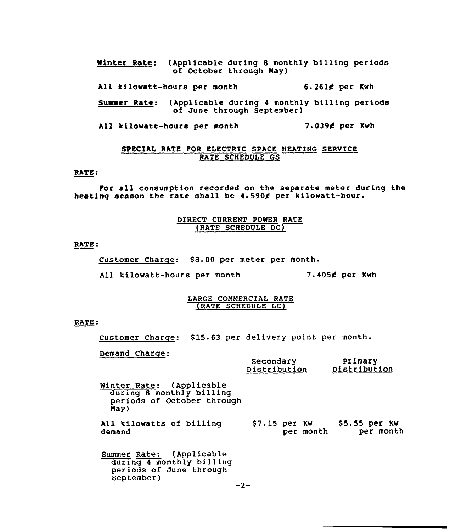Winter Rate: (Applicable during 8 monthly billing periods of October through May)

All kilowatt-hours per month 6.261¢ per Kwh

Summer Rate: (Applicable during <sup>4</sup> monthly billing periods of June through September)

All kilowatt-hours per month 7.039£ per Kwh

### SPECIAL RATE FOR ELECTRIC SPACE HEATING SERVICE RATE SCHEDULE GS

# RATE:

For all consumption recorded on the separate meter during the heating season the rate shall be 4.5904 per kilowatt-hour.

# DIRECT CURRENT POWER RATE (RATE SCHEDULE DC)

RATE:

Customer Charge: \$8.00 per meter per month.

All kilowatt-hours per month 7.4054 per Kwh

#### LARGE COMMERCIAL RATE (BATE SCHEDULE LC)

RATE:

Customer Charge: \$15.63 per delivery point per month.

Demand Charge:

|                                                                                               | Secondary<br>Distribution  | Primary<br>Distribution     |
|-----------------------------------------------------------------------------------------------|----------------------------|-----------------------------|
| Winter Rate: (Applicable<br>during 8 monthly billing<br>periods of October through<br>May)    |                            |                             |
| All kilowatts of billing<br>demand                                                            | \$7.15 per Kw<br>per month | $$5.55$ per Kw<br>per month |
| Summer Rate: (Applicable<br>during 4 monthly billing<br>periods of June through<br>September) |                            |                             |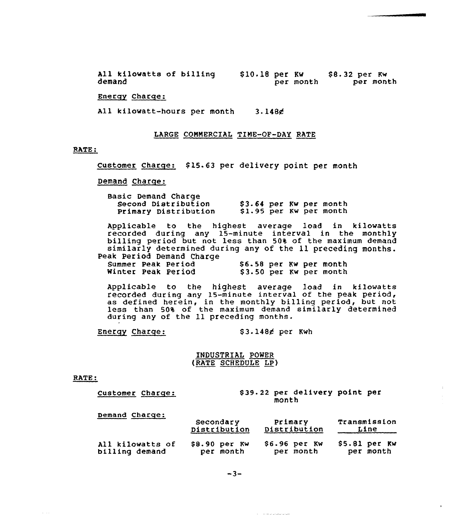All kilowatts of billing demand S10.18 per Kw per month \$ 8. 32 per Kw per month

Energy Charge:

All kilowatt-hours per month 3.1484

### LARGE COMMERCIAL TIME-OF-DAY RATE

### RATE:

Customer Charge: \$15.63 per delivery point per month

#### Demand Charge:

Basic Demand Charge<br>Second Distribution Second Distribution 53.64 per Kw per month<br>Primary Distribution 51.95 per Kw per month \$1.95 per Kw per month

Applicable to the highest average load in kilowatts recorded during any 15-minute interval in the monthl billing period but not less than 504 of the maximum demand similarly determined during any of the ll preceding months. Peak Period Demand Charge

| Summer Peak Period |  | \$6.58 per Kw per month |  |                         |
|--------------------|--|-------------------------|--|-------------------------|
| Winter Peak Period |  |                         |  | \$3.50 per Kw per month |

Applicable to the highest average load in kilowatt recorded during any 15-minute interval of the peak period, as defined herein, in the monthly billing period, but not less than 50% of the maximum demand similarly determine during any of the 11 preceding months.

Energy Charge: \$3.148 $\epsilon$  per Kwh

**Service Services** 

### INDUSTRIAL PONER fRATE SCHEDULE LP)

#### RATE:

#### Customer Charge: \$39.22 per delivery point per month

Demand Charge:

|                  | Secondary      | Primary          | Transmission   |
|------------------|----------------|------------------|----------------|
|                  | Distribution   | Distribution     | Line           |
| All kilowatts of | $$8.90$ per KW | $$6.96$ per $KW$ | $$5.81$ per Kw |
| billing demand   | per month      | per month        | per month      |

 $-3-$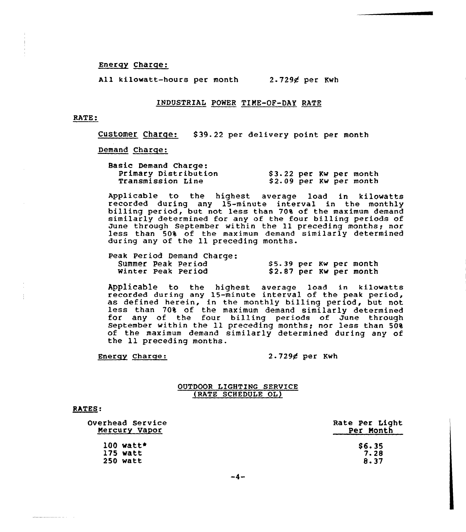### Energy Charqe:

All kilowatt-hours per month 2-7294 per Kwh

#### INDUSTRIAL POWER TINE-OF-DAY RATE

#### RATE:

Customer Charqe: \$ 39.22 per delivery point per month

# Demand Charqe:

| <b>Basic Demand Charge:</b> |                         |
|-----------------------------|-------------------------|
| Primary Distribution        | \$3.22 per Kw per month |
| Transmission Line           | \$2.09 per Kw per month |

Applicable to the highest average load in kilowatts recorded during any 15-minute interval in the monthly billing period, but not less than 70% of the maximum demand similarly determined for any of the four billing periods of<br>June through September within the 11 preceding months; nor SIMITATTY GECERNINES TOR ANY OF THE FOST DITTING PETIOSS OF<br>June through September within the 11 preceding months; nor<br>less than 50% of the maximum demand similarly determined during any of the 11 preceding months.

|  |                    | Peak Period Demand Charge: |                         |  |                         |  |
|--|--------------------|----------------------------|-------------------------|--|-------------------------|--|
|  | Summer Peak Period |                            | \$5.39 per Kw per month |  |                         |  |
|  | Winter Peak Period |                            |                         |  | \$2.87 per Kw per month |  |

Applicable to the highest average load in kilowatt recorded during any 15-minute interval of the peak period as defined herein, in the monthly billing period, but not less than 70% of the maximum demand similarly determined for any of the four billing periods of June through September within the 11 preceding months; nor less than of the maximum demand similarly determined during any of the ll preceding months.

### Energy Charge: 2.729¢ per Kwh

#### OUTDOOR LICHTING SERVICE (RATE SCHEDULE OL)

#### RATES:

Overhead Service Nercury Vapor

> 100 watt» 175 watt 250 watt

Rate Per Light Per Nonth

> $$6.35$ <br>7.28  $8.37$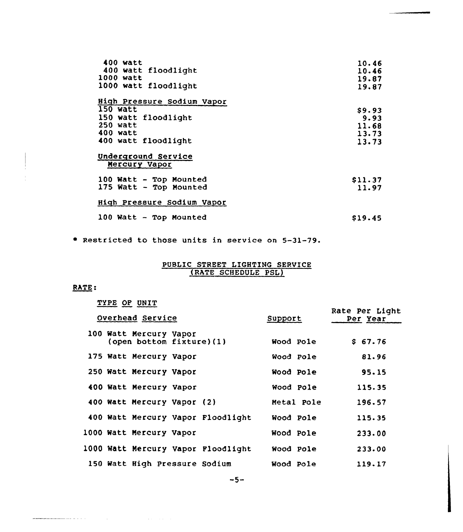| 400 watt<br>400 watt floodlight<br>1000 watt<br>1000 watt floodlight                                         | 10.46<br>10.46<br>19.87<br>19.87          |
|--------------------------------------------------------------------------------------------------------------|-------------------------------------------|
| High Pressure Sodium Vapor<br>150 watt<br>150 watt floodlight<br>250 watt<br>400 watt<br>400 watt floodlight | \$9.93<br>9.93<br>11.68<br>13.73<br>13.73 |
| Underground Service<br>Mercury Vapor                                                                         |                                           |
| 100 Watt - Top Mounted<br>175 Watt - Top Mounted                                                             | \$11.37<br>11.97                          |
| High Pressure Sodium Vapor                                                                                   |                                           |
| $100$ Watt $\sim$ Top Mounted                                                                                | \$19.45                                   |

Restricted to those units in service on 5-31-79.

# PUBLIC STREET LIGHTING SERVICE (RATE SCHEDULE PSI)

# RATE:

 $\mathcal{L}(\mathcal{A})$  and  $\mathcal{L}(\mathcal{A})$  are  $\mathcal{L}(\mathcal{A})$  . The contribution of  $\mathcal{L}(\mathcal{A})$ 

| TYPE OF UNIT                                       |            |                            |
|----------------------------------------------------|------------|----------------------------|
| Overhead Service                                   | Support    | Rate Per Light<br>Per Year |
| 100 Watt Mercury Vapor<br>(open bottom fixture)(1) | Wood Pole  | \$67.76                    |
| 175 Watt Mercury Vapor                             | Wood Pole  | 81.96                      |
| 250 Watt Mercury Vapor                             | Wood Pole  | 95.15                      |
| 400 Watt Mercury Vapor                             | Wood Pole  | 115.35                     |
| 400 Watt Mercury Vapor (2)                         | Metal Pole | 196.57                     |
| 400 Watt Mercury Vapor Floodlight                  | Wood Pole  | 115.35                     |
| 1000 Watt Mercury Vapor                            | Wood Pole  | 233.00                     |
| 1000 Watt Mercury Vapor Floodlight                 | Wood Pole  | 233.00                     |
| 150 Watt High Pressure Sodium                      | Wood Pole  | 119.17                     |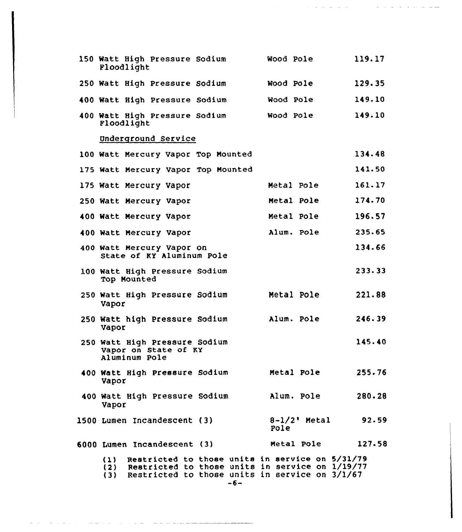| 150 Watt High Pressure Sodium<br>Floodlight                                                                                                                      |       | Wood Pole               | 119.17 |
|------------------------------------------------------------------------------------------------------------------------------------------------------------------|-------|-------------------------|--------|
| 250 Watt High Pressure Sodium                                                                                                                                    |       | <b>Wood Pole</b>        | 129.35 |
| 400 Watt High Pressure Sodium                                                                                                                                    |       | Wood Pole               | 149.10 |
| 400 Watt High Pressure Sodium<br>Floodlight                                                                                                                      |       | Wood Pole               | 149.10 |
| Underground Service                                                                                                                                              |       |                         |        |
| 100 Watt Mercury Vapor Top Mounted                                                                                                                               |       |                         | 134.48 |
| 175 Watt Mercury Vapor Top Mounted                                                                                                                               |       |                         | 141.50 |
| 175 Watt Mercury Vapor                                                                                                                                           |       | Metal Pole              | 161.17 |
| 250 Watt Mercury Vapor                                                                                                                                           |       | Metal Pole              | 174.70 |
| 400 Watt Mercury Vapor                                                                                                                                           |       | Metal Pole              | 196.57 |
| 400 Watt Mercury Vapor                                                                                                                                           |       | Alum. Pole              | 235.65 |
| 400 Watt Mercury Vapor on<br>State of KY Aluminum Pole                                                                                                           |       |                         | 134.66 |
| 100 Watt High Pressure Sodium<br>Top Mounted                                                                                                                     |       |                         | 233.33 |
| 250 Watt High Pressure Sodium<br>Vapor                                                                                                                           |       | Metal Pole              | 221.88 |
| 250 Watt high Pressure Sodium<br>Vapor                                                                                                                           |       | Alum. Pole              | 246.39 |
| 250 Watt High Pressure Sodium<br>Vapor on State of KY<br>Aluminum Pole                                                                                           |       |                         | 145.40 |
| 400 Watt High Pressure Sodium<br>Vapor                                                                                                                           |       | Metal Pole              | 255.76 |
| 400 Watt High Pressure Sodium<br>Vapor                                                                                                                           |       | Alum. Pole              | 280.28 |
| 1500 Lumen Incandescent (3)                                                                                                                                      |       | $8-1/2$ ' Metal<br>Pole | 92.59  |
| 6000 Lumen Incandescent (3)                                                                                                                                      |       | Metal Pole              | 127.58 |
| (1) Restricted to those units in service on 5/31/79<br>(2) Restricted to those units in service on 1/19/77<br>(3) Restricted to those units in service on 3/1/67 | $-6-$ |                         |        |

 $\mathcal{A}$  , and the set of the set of the set of the set of the set of the set of the  $\mathcal{A}$ 

ومستمرك وكالمراكب المركوب المتراوي والمرورة والمتحد والمرادي والمراوي والمراوي والمراوي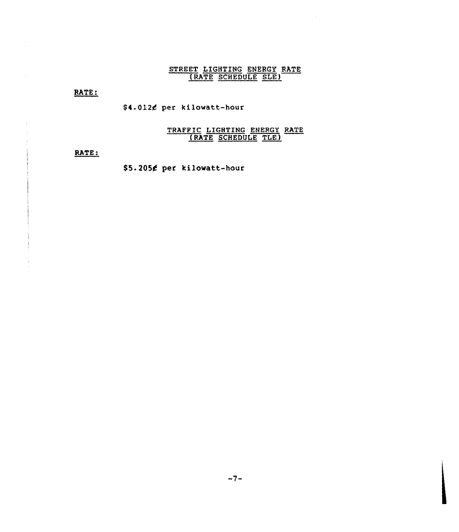# STREET LIGHTING ENERGY RATE (RATE SCHEDULE SLE)

RATE:

\$4.012¢ per kilowatt-hour

# TRAFFIC LIGHTING ENERGY RATE (RATE SCHEDULE TLE)

RATE:

\$5.2054 per kilowatt-hour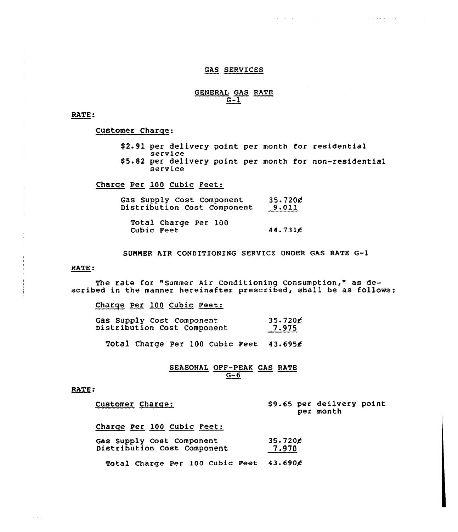### GAS SERVICES

# GENERAL GAS RATE  $G-1$

RATE:

Customer Charge:

\$ 2.91 per delivery point per month for residential service \$ 5.82 per delivery point per month for non-residential service

 $\mathcal{A}(\mathcal{A})$  . The contribution of  $\mathcal{A}(\mathcal{A})$ 

 $\alpha$  ,  $\alpha$  ,  $\alpha$  ,  $\alpha$  ,  $\alpha$  ,  $\alpha$ 

Charge Per 100 Cubic Feet:

|  | Gas Supply Cost Component   | 35.720c                 |
|--|-----------------------------|-------------------------|
|  | Distribution Cost Component | <b>9.011</b><br>_______ |

Total Charge Per 100 Cubic Feet 44. 73lg

SUMMER AIR CONDITIONING SERVICE UNDER GAS RATE G-1

RATE:

The rate for "Summer Air Conditioning Consumption," as described in the manner hereinafter prescribed, shall be as follows:

Charge Per 100 Cubic Feet:

| Gas Supply Cost Component   | $35.720$ ¢ |
|-----------------------------|------------|
| Distribution Cost Component | 7.975      |

Total Charge Per 100 Cubic Feet  $43.695g$ 

### SEASONAL OFF-PEAK GAS RATE  $G-6$

### RATE:

 $\sim 100$  km  $^{-1}$ 

| Customer Charge:                                         | \$9.65 per deilvery point<br>per month |
|----------------------------------------------------------|----------------------------------------|
| Charge Per 100 Cubic Feet:                               |                                        |
| Gas Supply Cost Component<br>Distribution Cost Component | 35.720E<br>7.970                       |

Total Charge Per 100 Cubic Feet  $43.690$  $c$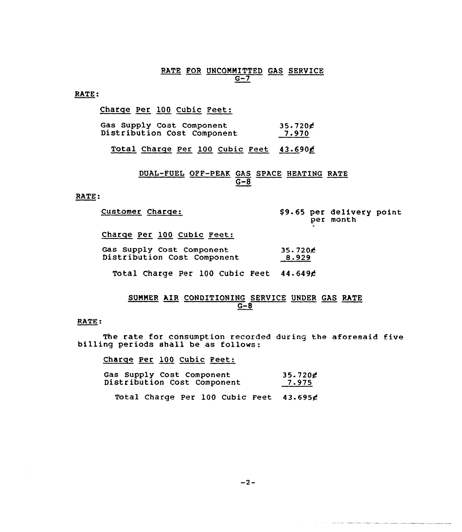# RATE FOR UNCOMMITTED GAS SERVICE  $G-7$

### RATE:

Charge Per 100 Cubic Feet:

| Gas Supply Cost Component   | $35.720$ c   |
|-----------------------------|--------------|
| Distribution Cost Component | <u>7.970</u> |

Total Charge Per 100 Cubic Feet 43.690g

# DUAL-FUEL OFF-PEAK GAS SPACE HEATING RATE  $\overline{G}-\overline{8}$

# RATE:

| Customer Charge:                                         | \$9.65 per delivery point<br>per month |
|----------------------------------------------------------|----------------------------------------|
| Charge Per 100 Cubic Feet:                               |                                        |
| Gas Supply Cost Component<br>Distribution Cost Component | 35.720c<br>8.929                       |
| Total Charge Per 100 Cubic Feet 44.649¢                  |                                        |

# SUMMER AIR CONDITIONING SERVICE UNDER GAS RATE  $G-8$

#### RATE:

The rate for consumption recorded during the aforesaid five billing periods shall be as follows:

Charge Per 100 Cubic Feet:

|  | Gas Supply Cost Component   | 35.720g |
|--|-----------------------------|---------|
|  | Distribution Cost Component | 7.975   |

Total Charge Per 100 Cubic Feet 43.6954

the contract of the contract completely stage constraints and contract the contract of the